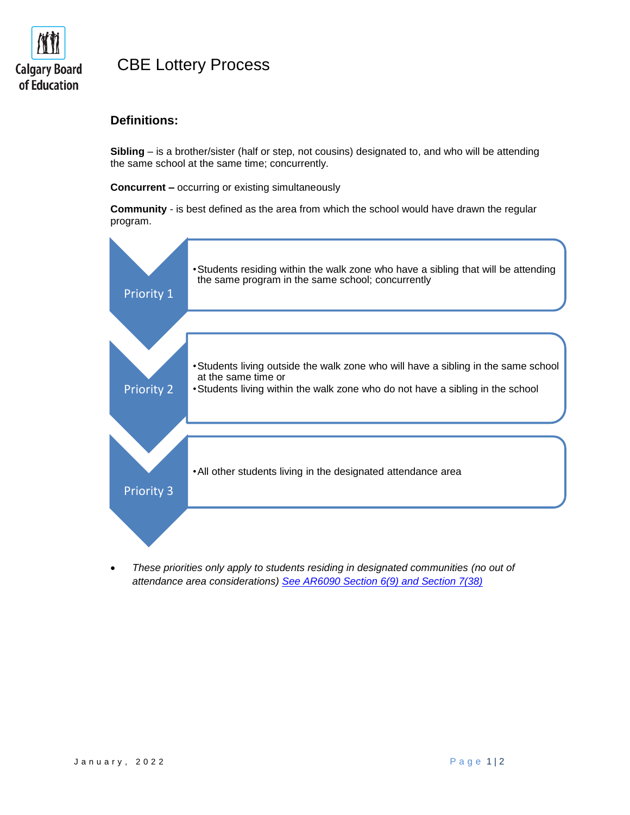

# CBE Lottery Process

### **Definitions:**

**Sibling** – is a brother/sister (half or step, not cousins) designated to, and who will be attending the same school at the same time; concurrently.

**Concurrent –** occurring or existing simultaneously

**Community** - is best defined as the area from which the school would have drawn the regular program.



 *These priorities only apply to students residing in designated communities (no out of attendance area considerations) [See AR6090 Section 6\(9\) and Section 7\(38\)](https://www.cbe.ab.ca/GovernancePolicies/AR6090.pdf)*